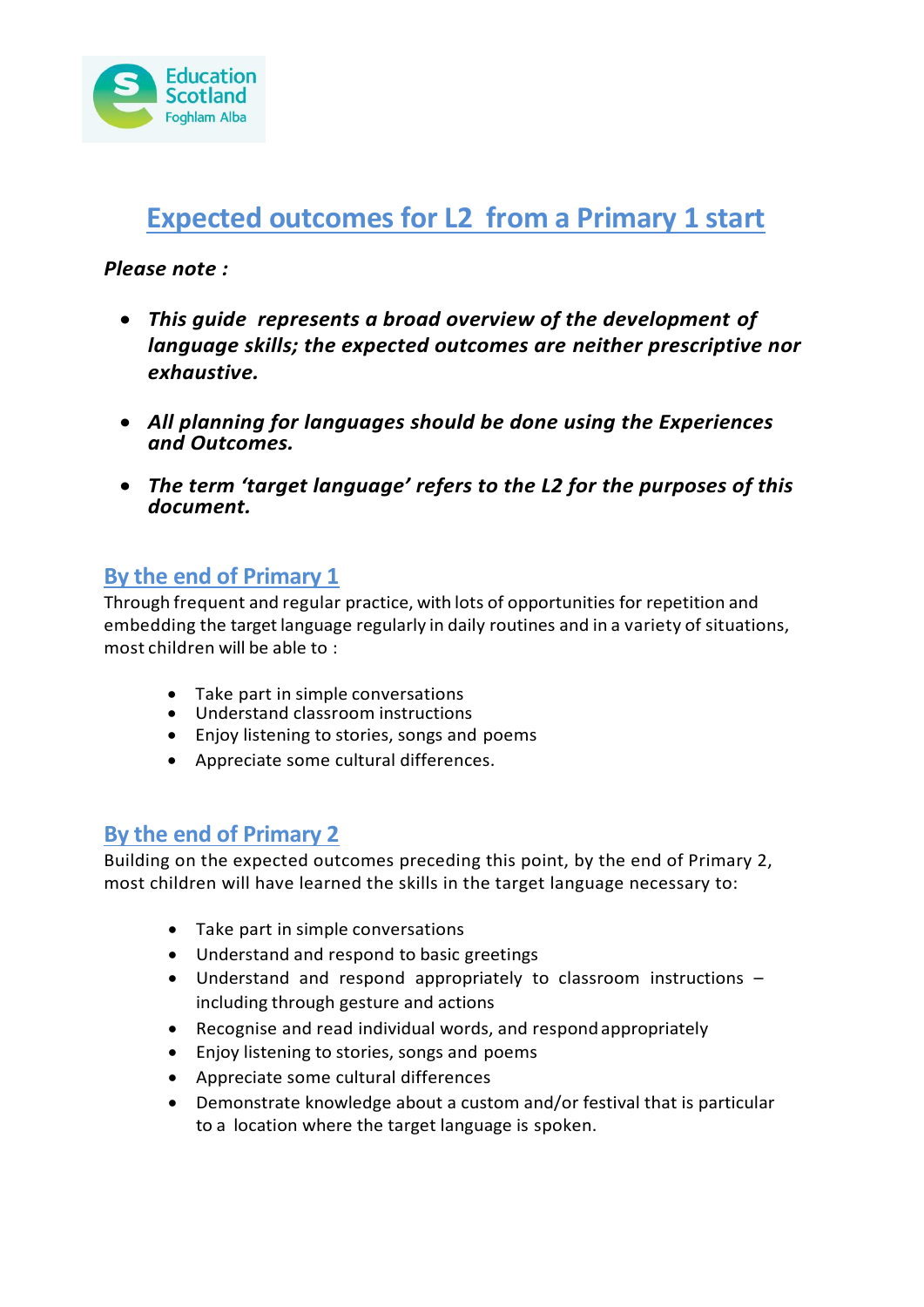

# **Expected outcomes for L2 from a Primary 1 start**

#### *Please note :*

- *This guide represents a broad overview of the development of language skills; the expected outcomes are neither prescriptive nor exhaustive.*
- *All planning for languages should be done using the Experiences and Outcomes.*
- *The term 'target language' refers to the L2 for the purposes of this document.*

#### **By the end of Primary 1**

Through frequent and regular practice, with lots of opportunities for repetition and embedding the target language regularly in daily routines and in a variety of situations, most children will be able to :

- Take part in simple conversations
- Understand classroom instructions
- Enjoy listening to stories, songs and poems
- Appreciate some cultural differences.

#### **By the end of Primary 2**

Building on the expected outcomes preceding this point, by the end of Primary 2, most children will have learned the skills in the target language necessary to:

- Take part in simple conversations
- Understand and respond to basic greetings
- Understand and respond appropriately to classroom instructions including through gesture and actions
- Recognise and read individual words, and respond appropriately
- Enjoy listening to stories, songs and poems
- Appreciate some cultural differences
- Demonstrate knowledge about a custom and/or festival that is particular to a location where the target language is spoken.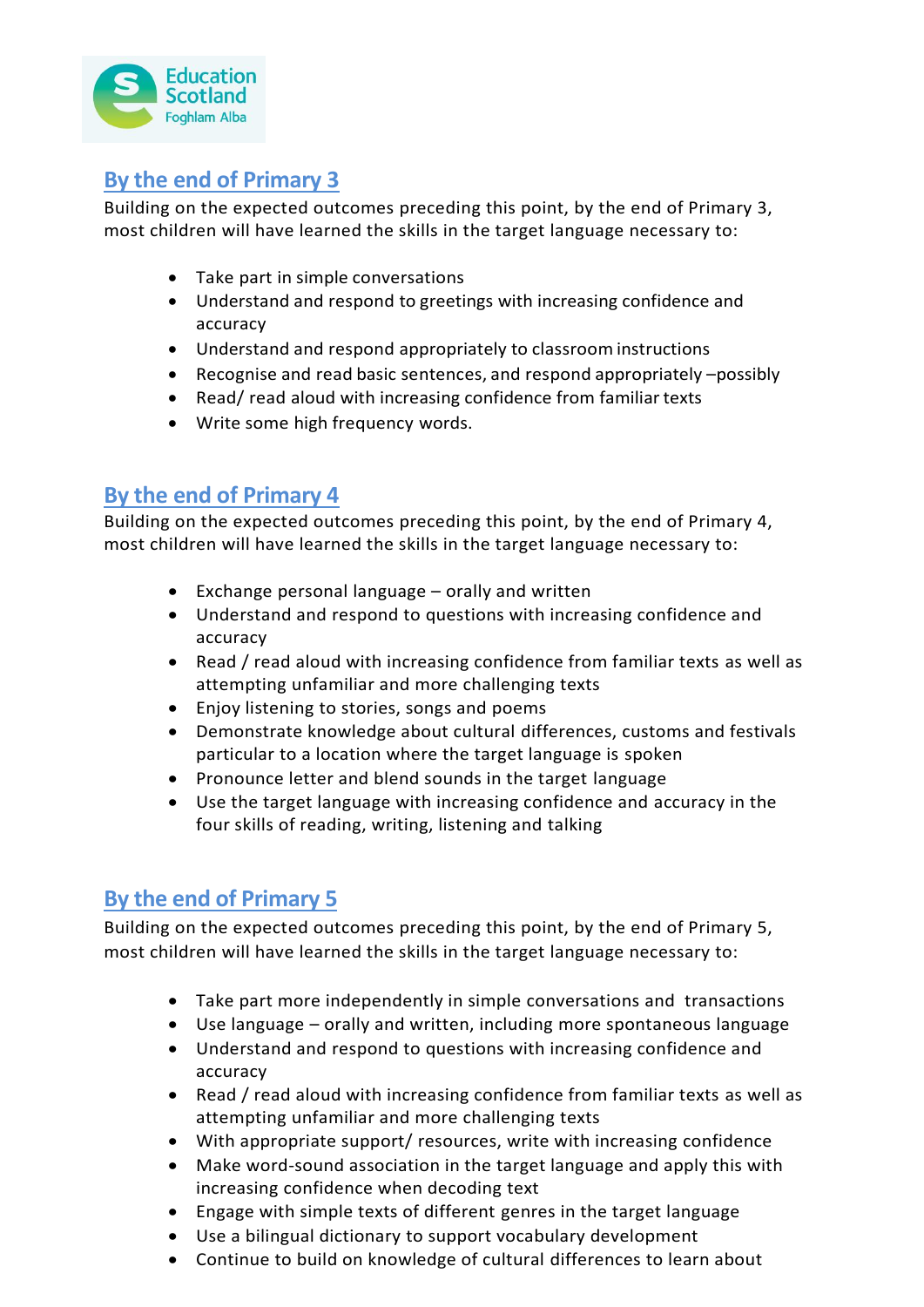

# **By the end of Primary 3**

Building on the expected outcomes preceding this point, by the end of Primary 3, most children will have learned the skills in the target language necessary to:

- Take part in simple conversations
- Understand and respond to greetings with increasing confidence and accuracy
- Understand and respond appropriately to classroom instructions
- Recognise and read basic sentences, and respond appropriately –possibly
- Read/ read aloud with increasing confidence from familiar texts
- Write some high frequency words.

#### **By the end of Primary 4**

Building on the expected outcomes preceding this point, by the end of Primary 4, most children will have learned the skills in the target language necessary to:

- Exchange personal language orally and written
- Understand and respond to questions with increasing confidence and accuracy
- Read / read aloud with increasing confidence from familiar texts as well as attempting unfamiliar and more challenging texts
- Enjoy listening to stories, songs and poems
- Demonstrate knowledge about cultural differences, customs and festivals particular to a location where the target language is spoken
- Pronounce letter and blend sounds in the target language
- Use the target language with increasing confidence and accuracy in the four skills of reading, writing, listening and talking

## **By the end of Primary 5**

Building on the expected outcomes preceding this point, by the end of Primary 5, most children will have learned the skills in the target language necessary to:

- Take part more independently in simple conversations and transactions
- Use language orally and written, including more spontaneous language
- Understand and respond to questions with increasing confidence and accuracy
- Read / read aloud with increasing confidence from familiar texts as well as attempting unfamiliar and more challenging texts
- With appropriate support/ resources, write with increasing confidence
- Make word-sound association in the target language and apply this with increasing confidence when decoding text
- Engage with simple texts of different genres in the target language
- Use a bilingual dictionary to support vocabulary development
- Continue to build on knowledge of cultural differences to learn about